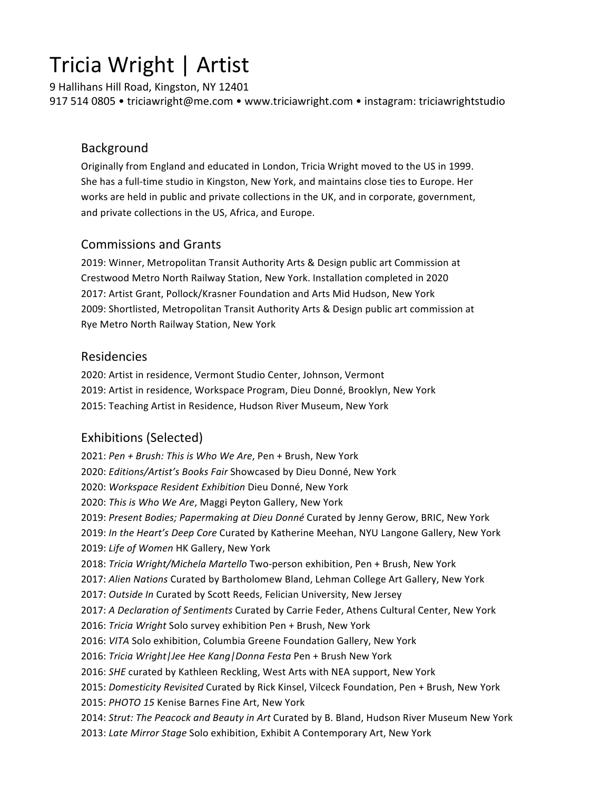# Tricia Wright | Artist

9 Hallihans Hill Road, Kingston, NY 12401 917 514 0805 • triciawright@me.com • www.triciawright.com • instagram: triciawrightstudio

## Background

Originally from England and educated in London, Tricia Wright moved to the US in 1999. She has a full-time studio in Kingston, New York, and maintains close ties to Europe. Her works are held in public and private collections in the UK, and in corporate, government, and private collections in the US, Africa, and Europe.

## Commissions and Grants

2019: Winner, Metropolitan Transit Authority Arts & Design public art Commission at Crestwood Metro North Railway Station, New York. Installation completed in 2020 2017: Artist Grant, Pollock/Krasner Foundation and Arts Mid Hudson, New York 2009: Shortlisted, Metropolitan Transit Authority Arts & Design public art commission at Rye Metro North Railway Station, New York

## Residencies

2020: Artist in residence, Vermont Studio Center, Johnson, Vermont 2019: Artist in residence, Workspace Program, Dieu Donné, Brooklyn, New York 2015: Teaching Artist in Residence, Hudson River Museum, New York

# Exhibitions (Selected)

2021: Pen + Brush: This is Who We Are, Pen + Brush, New York 2020: *Editions/Artist's Books Fair* Showcased by Dieu Donné, New York 2020: Workspace Resident Exhibition Dieu Donné, New York 2020: This is Who We Are, Maggi Peyton Gallery, New York 2019: Present Bodies; Papermaking at Dieu Donné Curated by Jenny Gerow, BRIC, New York 2019: In the Heart's Deep Core Curated by Katherine Meehan, NYU Langone Gallery, New York 2019: Life of Women HK Gallery, New York 2018: Tricia Wright/Michela Martello Two-person exhibition, Pen + Brush, New York 2017: *Alien Nations* Curated by Bartholomew Bland, Lehman College Art Gallery, New York 2017: Outside In Curated by Scott Reeds, Felician University, New Jersey 2017: A Declaration of Sentiments Curated by Carrie Feder, Athens Cultural Center, New York 2016: Tricia Wright Solo survey exhibition Pen + Brush, New York 2016: VITA Solo exhibition, Columbia Greene Foundation Gallery, New York 2016: *Tricia Wright|Jee Hee Kang|Donna Festa* Pen + Brush New York 2016: *SHE* curated by Kathleen Reckling, West Arts with NEA support, New York 2015: *Domesticity Revisited* Curated by Rick Kinsel, Vilceck Foundation, Pen + Brush, New York 2015: PHOTO 15 Kenise Barnes Fine Art, New York 2014: Strut: The Peacock and Beauty in Art Curated by B. Bland, Hudson River Museum New York 2013: Late Mirror Stage Solo exhibition, Exhibit A Contemporary Art, New York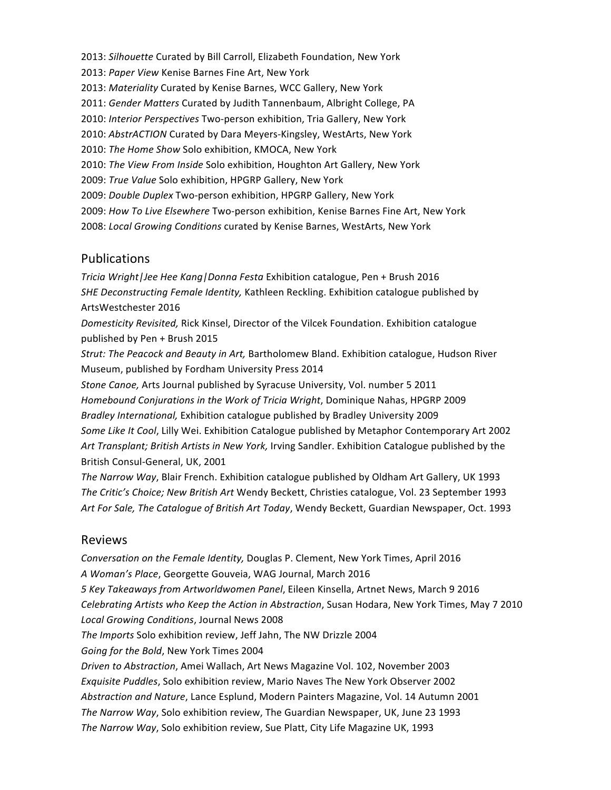2013: *Silhouette* Curated by Bill Carroll, Elizabeth Foundation, New York 2013: Paper View Kenise Barnes Fine Art, New York 2013: Materiality Curated by Kenise Barnes, WCC Gallery, New York 2011: Gender Matters Curated by Judith Tannenbaum, Albright College, PA 2010: Interior Perspectives Two-person exhibition, Tria Gallery, New York 2010: AbstrACTION Curated by Dara Meyers-Kingsley, WestArts, New York 2010: The Home Show Solo exhibition, KMOCA, New York 2010: The View From Inside Solo exhibition, Houghton Art Gallery, New York 2009: True Value Solo exhibition, HPGRP Gallery, New York 2009: *Double Duplex* Two-person exhibition, HPGRP Gallery, New York 2009: How To Live Elsewhere Two-person exhibition, Kenise Barnes Fine Art, New York 2008: *Local Growing Conditions* curated by Kenise Barnes, WestArts, New York

#### Publications

*Tricia Wright|Jee Hee Kang|Donna Festa* Exhibition catalogue, Pen + Brush 2016 **SHE Deconstructing Female Identity, Kathleen Reckling. Exhibition catalogue published by** ArtsWestchester 2016

Domesticity Revisited, Rick Kinsel, Director of the Vilcek Foundation. Exhibition catalogue published by Pen + Brush 2015

*Strut: The Peacock and Beauty in Art, Bartholomew Bland. Exhibition catalogue, Hudson River* Museum, published by Fordham University Press 2014

*Stone Canoe,* Arts Journal published by Syracuse University, Vol. number 5 2011 Homebound Conjurations in the Work of Tricia Wright, Dominique Nahas, HPGRP 2009 *Bradley International,* Exhibition catalogue published by Bradley University 2009 Some Like It Cool, Lilly Wei. Exhibition Catalogue published by Metaphor Contemporary Art 2002 Art Transplant; British Artists in New York, Irving Sandler. Exhibition Catalogue published by the British Consul-General, UK, 2001

The Narrow Way, Blair French. Exhibition catalogue published by Oldham Art Gallery, UK 1993 The Critic's Choice; New British Art Wendy Beckett, Christies catalogue, Vol. 23 September 1993 Art For Sale, The Catalogue of British Art Today, Wendy Beckett, Guardian Newspaper, Oct. 1993

#### Reviews

*Conversation on the Female Identity, Douglas P. Clement, New York Times, April 2016* A Woman's Place, Georgette Gouveia, WAG Journal, March 2016 *5 Key Takeaways from Artworldwomen Panel*, Eileen Kinsella, Artnet News, March 9 2016 *Celebrating Artists who Keep the Action in Abstraction*, Susan Hodara, New York Times, May 7 2010 *Local Growing Conditions*, Journal News 2008 *The Imports* Solo exhibition review, Jeff Jahn, The NW Drizzle 2004 Going for the Bold, New York Times 2004 *Driven to Abstraction*, Amei Wallach, Art News Magazine Vol. 102, November 2003 *Exquisite Puddles*, Solo exhibition review, Mario Naves The New York Observer 2002 Abstraction and Nature, Lance Esplund, Modern Painters Magazine, Vol. 14 Autumn 2001 The Narrow Way, Solo exhibition review, The Guardian Newspaper, UK, June 23 1993 The Narrow Way, Solo exhibition review, Sue Platt, City Life Magazine UK, 1993